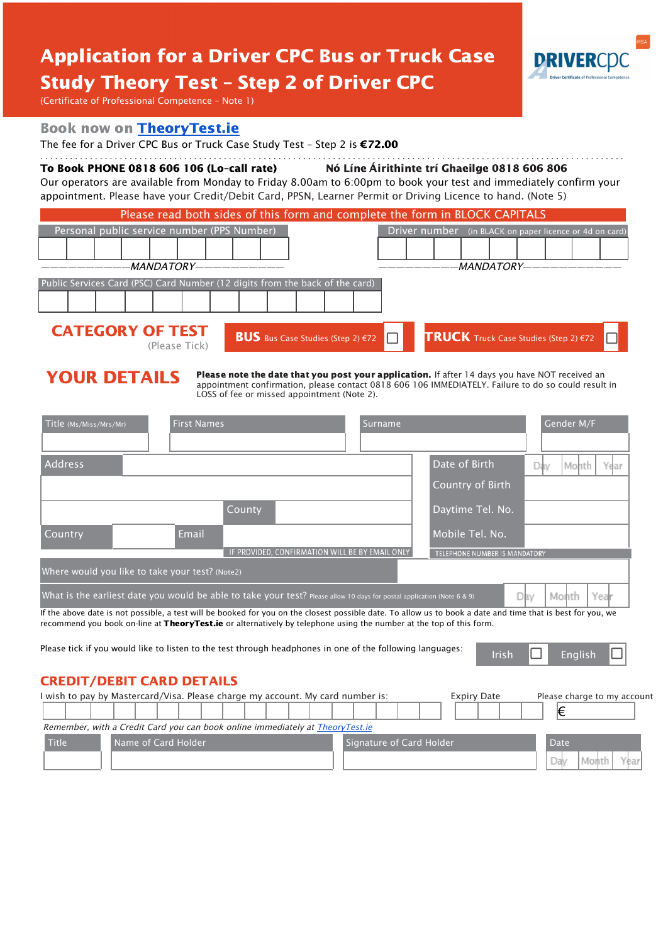# **Application for a Driver CPC Bus or Truck Case Study Theory Test - Step 2 of Driver CPC**



(Certificate of Professional Competence - Note 1)

### **Book now on TheoryTest.ie**

The fee for a Driver CPC Bus or Truck Case Study Test - Step 2 is €72.00

### 

To Book PHONE 0818 606 106 (Lo-call rate) Nó Líne Áirithinte trí Ghaeilge 0818 606 806 Our operators are available from Monday to Friday 8.00am to 6:00pm to book your test and immediately confirm your

appointment. Please have your Credit/Debit Card, PPSN, Learner Permit or Driving Licence to hand. (Note 5)

|                    |                                                                                                                                                     |  |  |  |                                             |             |  |  | Please read both sides of this form and complete the form in BLOCK CAPITALS |  |  |  |  |  |  |                                                         |  |
|--------------------|-----------------------------------------------------------------------------------------------------------------------------------------------------|--|--|--|---------------------------------------------|-------------|--|--|-----------------------------------------------------------------------------|--|--|--|--|--|--|---------------------------------------------------------|--|
|                    |                                                                                                                                                     |  |  |  | Personal public service number (PPS Number) |             |  |  |                                                                             |  |  |  |  |  |  | Driver number (in BLACK on paper licence or 4d on card) |  |
|                    |                                                                                                                                                     |  |  |  |                                             |             |  |  |                                                                             |  |  |  |  |  |  |                                                         |  |
| -MANDATORY———————- |                                                                                                                                                     |  |  |  |                                             | -MANDATORY— |  |  |                                                                             |  |  |  |  |  |  |                                                         |  |
|                    | Public Services Card (PSC) Card Number (12 digits from the back of the card)                                                                        |  |  |  |                                             |             |  |  |                                                                             |  |  |  |  |  |  |                                                         |  |
|                    |                                                                                                                                                     |  |  |  |                                             |             |  |  |                                                                             |  |  |  |  |  |  |                                                         |  |
|                    | <b>CATEGORY OF TEST</b><br><b>TRUCK</b> Truck Case Studies (Step 2) $\epsilon$ 72<br><b>BUS</b> Bus Case Studies (Step 2) $\in$ 72<br>(Please Tick) |  |  |  |                                             |             |  |  |                                                                             |  |  |  |  |  |  |                                                         |  |

## **YOUR DETAILS**

Please note the date that you post your application. If after 14 days you have NOT received an appointment confirmation, please contact 0818 606 106 IMMEDIATELY. Failure to do so could result in LOSS of fee or missed appointment (Note 2).

| Title (Ms/Miss/Mrs/Mr)                          | <b>First Names</b>                                                                                                                                                                                                                                                                 | Surname                                         |                               | Gender M/F                  |
|-------------------------------------------------|------------------------------------------------------------------------------------------------------------------------------------------------------------------------------------------------------------------------------------------------------------------------------------|-------------------------------------------------|-------------------------------|-----------------------------|
|                                                 |                                                                                                                                                                                                                                                                                    |                                                 |                               |                             |
| <b>Address</b>                                  |                                                                                                                                                                                                                                                                                    |                                                 | Date of Birth                 | Month<br>Year<br>Dav        |
|                                                 |                                                                                                                                                                                                                                                                                    |                                                 | Country of Birth              |                             |
|                                                 | County                                                                                                                                                                                                                                                                             |                                                 | Daytime Tel. No.              |                             |
| Country                                         | Email                                                                                                                                                                                                                                                                              |                                                 | Mobile Tel. No.               |                             |
|                                                 |                                                                                                                                                                                                                                                                                    | IF PROVIDED, CONFIRMATION WILL BE BY EMAIL ONLY | TELEPHONE NUMBER IS MANDATORY |                             |
| Where would you like to take your test? (Note2) |                                                                                                                                                                                                                                                                                    |                                                 |                               |                             |
|                                                 | What is the earliest date you would be able to take your test? Please allow 10 days for postal application (Note 6 & 9)                                                                                                                                                            |                                                 |                               | Mohth<br>Year<br>Dav        |
|                                                 | If the above date is not possible, a test will be booked for you on the closest possible date. To allow us to book a date and time that is best for you, we<br>recommend you book on-line at TheoryTest.ie or alternatively by telephone using the number at the top of this form. |                                                 |                               |                             |
|                                                 | Please tick if you would like to listen to the test through headphones in one of the following languages:                                                                                                                                                                          |                                                 | Irish                         | Ш<br>English<br>H           |
| <b>CREDIT/DEBIT CARD DETAILS</b>                |                                                                                                                                                                                                                                                                                    |                                                 |                               |                             |
|                                                 | I wish to pay by Mastercard/Visa. Please charge my account. My card number is:                                                                                                                                                                                                     |                                                 | <b>Expiry Date</b>            | Please charge to my account |
|                                                 |                                                                                                                                                                                                                                                                                    |                                                 |                               | €                           |
|                                                 | Remember, with a Credit Card you can book online immediately at TheoryTest.ie                                                                                                                                                                                                      |                                                 |                               |                             |
| <b>Title</b>                                    | Name of Card Holder                                                                                                                                                                                                                                                                | Signature of Card Holder                        |                               | Date                        |